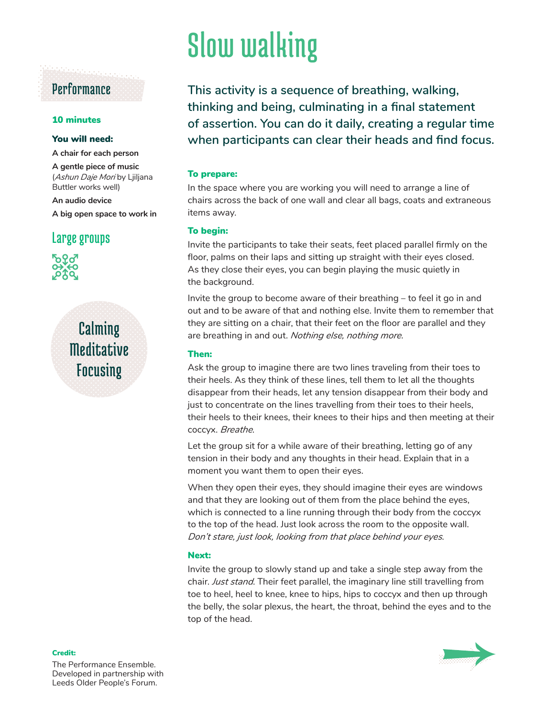### Performance

#### 10 minutes

#### You will need:

**A chair for each person**

**A gentle piece of music**  (*Ashun Daje Mori* by Ljiljana Buttler works well)

**An audio device A big open space to work in**

#### Large groups



## Calming **Meditative** Focusing

# Slow walking

**This activity is a sequence of breathing, walking, thinking and being, culminating in a final statement of assertion. You can do it daily, creating a regular time when participants can clear their heads and find focus.**

#### To prepare:

In the space where you are working you will need to arrange a line of chairs across the back of one wall and clear all bags, coats and extraneous items away.

#### To begin:

Invite the participants to take their seats, feet placed parallel firmly on the floor, palms on their laps and sitting up straight with their eyes closed. As they close their eyes, you can begin playing the music quietly in the background.

Invite the group to become aware of their breathing – to feel it go in and out and to be aware of that and nothing else. Invite them to remember that they are sitting on a chair, that their feet on the floor are parallel and they are breathing in and out. *Nothing else, nothing more*.

#### Then:

Ask the group to imagine there are two lines traveling from their toes to their heels. As they think of these lines, tell them to let all the thoughts disappear from their heads, let any tension disappear from their body and just to concentrate on the lines travelling from their toes to their heels, their heels to their knees, their knees to their hips and then meeting at their coccyx. *Breathe*.

Let the group sit for a while aware of their breathing, letting go of any tension in their body and any thoughts in their head. Explain that in a moment you want them to open their eyes.

When they open their eyes, they should imagine their eyes are windows and that they are looking out of them from the place behind the eyes, which is connected to a line running through their body from the coccyx to the top of the head. Just look across the room to the opposite wall. *Don't stare, just look, looking from that place behind your eyes*.

#### Next:

Invite the group to slowly stand up and take a single step away from the chair. *Just stand*. Their feet parallel, the imaginary line still travelling from toe to heel, heel to knee, knee to hips, hips to coccyx and then up through the belly, the solar plexus, the heart, the throat, behind the eyes and to the top of the head.



The Performance Ensemble. Developed in partnership with Leeds Older People's Forum.

Credit: